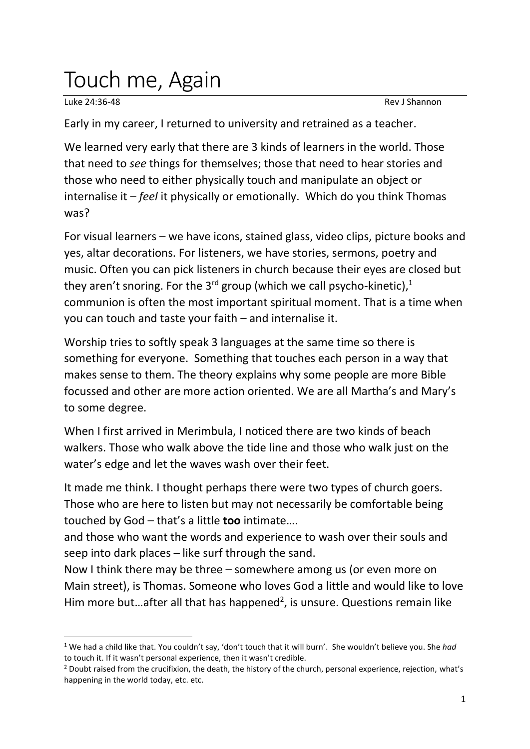## Touch me, Again

Luke 24:36-48 Rev J Shannon

Early in my career, I returned to university and retrained as a teacher.

We learned very early that there are 3 kinds of learners in the world. Those that need to *see* things for themselves; those that need to hear stories and those who need to either physically touch and manipulate an object or internalise it – *feel* it physically or emotionally. Which do you think Thomas was?

For visual learners – we have icons, stained glass, video clips, picture books and yes, altar decorations. For listeners, we have stories, sermons, poetry and music. Often you can pick listeners in church because their eyes are closed but they aren't snoring. For the 3<sup>rd</sup> group (which we call psycho-kinetic),<sup>1</sup> communion is often the most important spiritual moment. That is a time when you can touch and taste your faith – and internalise it.

Worship tries to softly speak 3 languages at the same time so there is something for everyone. Something that touches each person in a way that makes sense to them. The theory explains why some people are more Bible focussed and other are more action oriented. We are all Martha's and Mary's to some degree.

When I first arrived in Merimbula, I noticed there are two kinds of beach walkers. Those who walk above the tide line and those who walk just on the water's edge and let the waves wash over their feet.

It made me think. I thought perhaps there were two types of church goers. Those who are here to listen but may not necessarily be comfortable being touched by God – that's a little **too** intimate….

and those who want the words and experience to wash over their souls and seep into dark places – like surf through the sand.

Now I think there may be three – somewhere among us (or even more on Main street), is Thomas. Someone who loves God a little and would like to love Him more but...after all that has happened<sup>2</sup>, is unsure. Questions remain like

<sup>1</sup> We had a child like that. You couldn't say, 'don't touch that it will burn'. She wouldn't believe you. She *had* to touch it. If it wasn't personal experience, then it wasn't credible.

<sup>&</sup>lt;sup>2</sup> Doubt raised from the crucifixion, the death, the history of the church, personal experience, rejection, what's happening in the world today, etc. etc.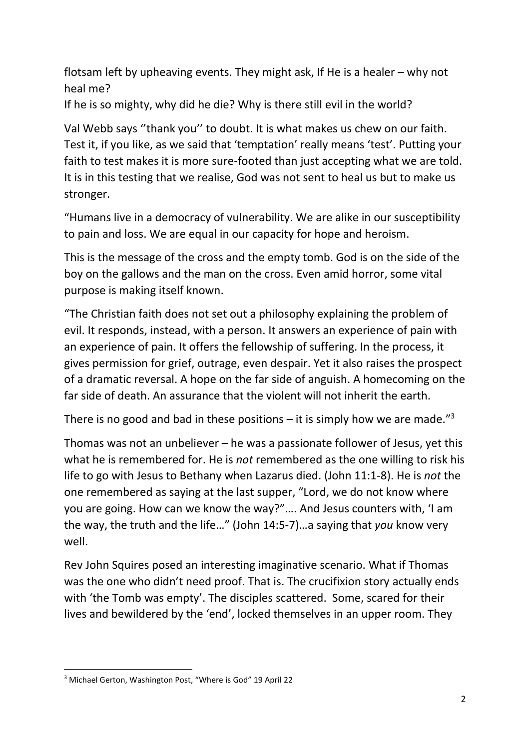flotsam left by upheaving events. They might ask, If He is a healer – why not heal me?

If he is so mighty, why did he die? Why is there still evil in the world?

Val Webb says ''thank you'' to doubt. It is what makes us chew on our faith. Test it, if you like, as we said that 'temptation' really means 'test'. Putting your faith to test makes it is more sure-footed than just accepting what we are told. It is in this testing that we realise, God was not sent to heal us but to make us stronger.

"Humans live in a democracy of vulnerability. We are alike in our susceptibility to pain and loss. We are equal in our capacity for hope and heroism.

This is the message of the cross and the empty tomb. God is on the side of the boy on the gallows and the man on the cross. Even amid horror, some vital purpose is making itself known.

"The Christian faith does not set out a philosophy explaining the problem of evil. It responds, instead, with a person. It answers an experience of pain with an experience of pain. It offers the fellowship of suffering. In the process, it gives permission for grief, outrage, even despair. Yet it also raises the prospect of a dramatic reversal. A hope on the far side of anguish. A homecoming on the far side of death. An assurance that the violent will not inherit the earth.

There is no good and bad in these positions  $-$  it is simply how we are made."<sup>3</sup>

Thomas was not an unbeliever – he was a passionate follower of Jesus, yet this what he is remembered for. He is *not* remembered as the one willing to risk his life to go with Jesus to Bethany when Lazarus died. (John 11:1-8). He is *not* the one remembered as saying at the last supper, "Lord, we do not know where you are going. How can we know the way?"…. And Jesus counters with, 'I am the way, the truth and the life…" (John 14:5-7)…a saying that *you* know very well.

Rev John Squires posed an interesting imaginative scenario. What if Thomas was the one who didn't need proof. That is. The crucifixion story actually ends with 'the Tomb was empty'. The disciples scattered. Some, scared for their lives and bewildered by the 'end', locked themselves in an upper room. They

<sup>3</sup> Michael Gerton, Washington Post, "Where is God" 19 April 22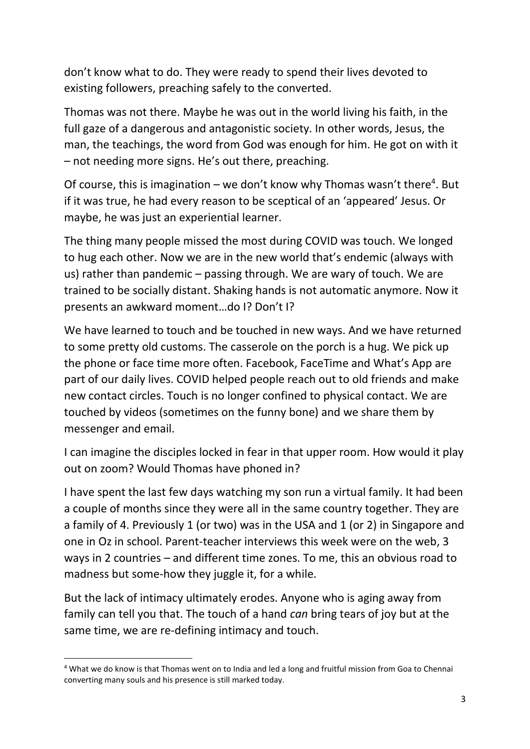don't know what to do. They were ready to spend their lives devoted to existing followers, preaching safely to the converted.

Thomas was not there. Maybe he was out in the world living his faith, in the full gaze of a dangerous and antagonistic society. In other words, Jesus, the man, the teachings, the word from God was enough for him. He got on with it – not needing more signs. He's out there, preaching.

Of course, this is imagination – we don't know why Thomas wasn't there<sup>4</sup>. But if it was true, he had every reason to be sceptical of an 'appeared' Jesus. Or maybe, he was just an experiential learner.

The thing many people missed the most during COVID was touch. We longed to hug each other. Now we are in the new world that's endemic (always with us) rather than pandemic – passing through. We are wary of touch. We are trained to be socially distant. Shaking hands is not automatic anymore. Now it presents an awkward moment…do I? Don't I?

We have learned to touch and be touched in new ways. And we have returned to some pretty old customs. The casserole on the porch is a hug. We pick up the phone or face time more often. Facebook, FaceTime and What's App are part of our daily lives. COVID helped people reach out to old friends and make new contact circles. Touch is no longer confined to physical contact. We are touched by videos (sometimes on the funny bone) and we share them by messenger and email.

I can imagine the disciples locked in fear in that upper room. How would it play out on zoom? Would Thomas have phoned in?

I have spent the last few days watching my son run a virtual family. It had been a couple of months since they were all in the same country together. They are a family of 4. Previously 1 (or two) was in the USA and 1 (or 2) in Singapore and one in Oz in school. Parent-teacher interviews this week were on the web, 3 ways in 2 countries – and different time zones. To me, this an obvious road to madness but some-how they juggle it, for a while.

But the lack of intimacy ultimately erodes. Anyone who is aging away from family can tell you that. The touch of a hand *can* bring tears of joy but at the same time, we are re-defining intimacy and touch.

<sup>4</sup> What we do know is that Thomas went on to India and led a long and fruitful mission from Goa to Chennai converting many souls and his presence is still marked today.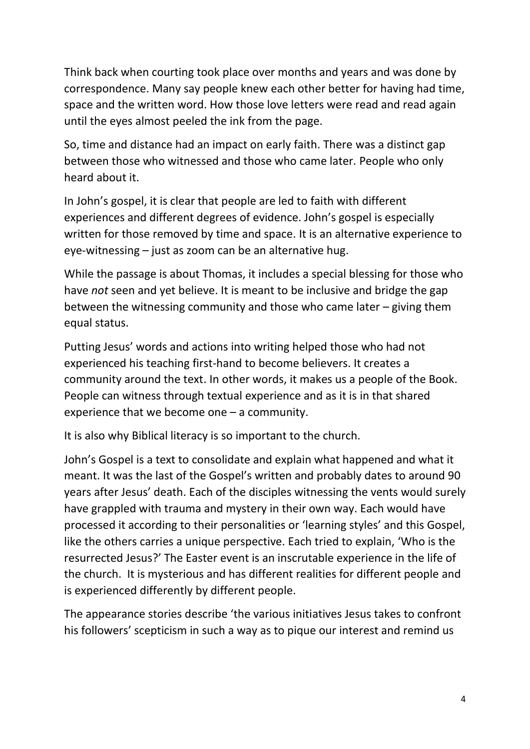Think back when courting took place over months and years and was done by correspondence. Many say people knew each other better for having had time, space and the written word. How those love letters were read and read again until the eyes almost peeled the ink from the page.

So, time and distance had an impact on early faith. There was a distinct gap between those who witnessed and those who came later. People who only heard about it.

In John's gospel, it is clear that people are led to faith with different experiences and different degrees of evidence. John's gospel is especially written for those removed by time and space. It is an alternative experience to eye-witnessing – just as zoom can be an alternative hug.

While the passage is about Thomas, it includes a special blessing for those who have *not* seen and yet believe. It is meant to be inclusive and bridge the gap between the witnessing community and those who came later – giving them equal status.

Putting Jesus' words and actions into writing helped those who had not experienced his teaching first-hand to become believers. It creates a community around the text. In other words, it makes us a people of the Book. People can witness through textual experience and as it is in that shared experience that we become one – a community.

It is also why Biblical literacy is so important to the church.

John's Gospel is a text to consolidate and explain what happened and what it meant. It was the last of the Gospel's written and probably dates to around 90 years after Jesus' death. Each of the disciples witnessing the vents would surely have grappled with trauma and mystery in their own way. Each would have processed it according to their personalities or 'learning styles' and this Gospel, like the others carries a unique perspective. Each tried to explain, 'Who is the resurrected Jesus?' The Easter event is an inscrutable experience in the life of the church. It is mysterious and has different realities for different people and is experienced differently by different people.

The appearance stories describe 'the various initiatives Jesus takes to confront his followers' scepticism in such a way as to pique our interest and remind us